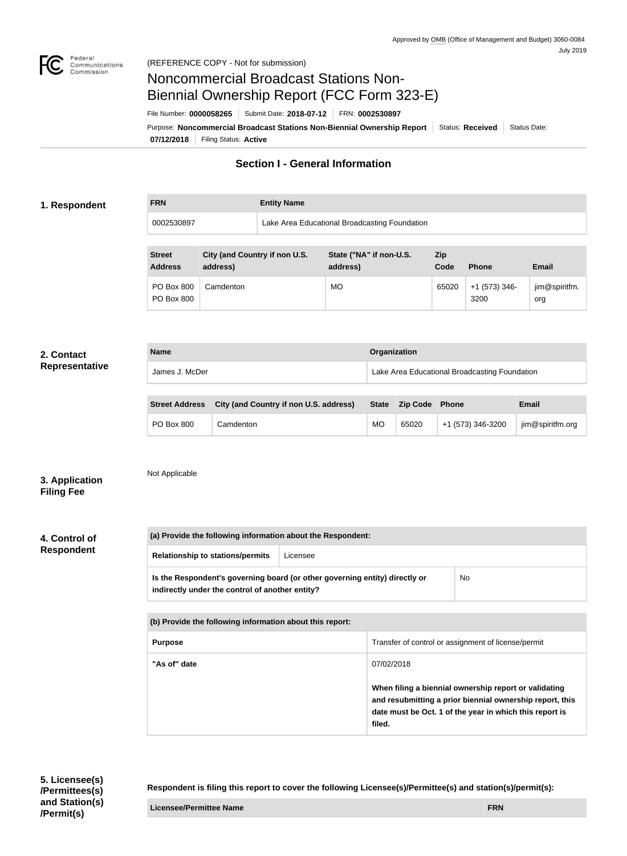

#### (REFERENCE COPY - Not for submission)

# Noncommercial Broadcast Stations Non-Biennial Ownership Report (FCC Form 323-E)

File Number: **0000058265** Submit Date: **2018-07-12** FRN: **0002530897**

**07/12/2018** Filing Status: **Active** Purpose: Noncommercial Broadcast Stations Non-Biennial Ownership Report Status: Received Status Date:

# **Section I - General Information**

## **1. Respondent**

**FRN Entity Name**

0002530897 Lake Area Educational Broadcasting Foundation

| <b>Street</b><br><b>Address</b>        | City (and Country if non U.S.<br>address) | State ("NA" if non-U.S.<br>address) | <b>Zip</b><br>Code | <b>Phone</b>            | <b>Email</b>         |
|----------------------------------------|-------------------------------------------|-------------------------------------|--------------------|-------------------------|----------------------|
| <b>PO Box 800</b><br><b>PO Box 800</b> | Camdenton                                 | <b>MO</b>                           | 65020              | $+1$ (573) 346-<br>3200 | jim@spiritfm.<br>org |

### **2. Contact Representative**

| <b>Name</b> |                | Organization                                  |  |
|-------------|----------------|-----------------------------------------------|--|
|             | James J. McDer | Lake Area Educational Broadcasting Foundation |  |

| <b>Street Address</b> | City (and Country if non U.S. address) | <b>State</b> | <b>Zip Code</b> | Phone             | <b>Email</b>     |
|-----------------------|----------------------------------------|--------------|-----------------|-------------------|------------------|
| <b>PO Box 800</b>     | Camdenton                              | MO           | 65020           | +1 (573) 346-3200 | jim@spiritfm.org |

# **3. Application Filing Fee**

Not Applicable

**4. Control of Respondent**

**(a) Provide the following information about the Respondent: Relationship to stations/permits** Licensee **Is the Respondent's governing board (or other governing entity) directly or indirectly under the control of another entity?** No

| (b) Provide the following information about this report: |                                                                                                                                                                                        |  |  |
|----------------------------------------------------------|----------------------------------------------------------------------------------------------------------------------------------------------------------------------------------------|--|--|
| <b>Purpose</b>                                           | Transfer of control or assignment of license/permit                                                                                                                                    |  |  |
| "As of" date                                             | 07/02/2018                                                                                                                                                                             |  |  |
|                                                          | When filing a biennial ownership report or validating<br>and resubmitting a prior biennial ownership report, this<br>date must be Oct. 1 of the year in which this report is<br>filed. |  |  |

**Respondent is filing this report to cover the following Licensee(s)/Permittee(s) and station(s)/permit(s):**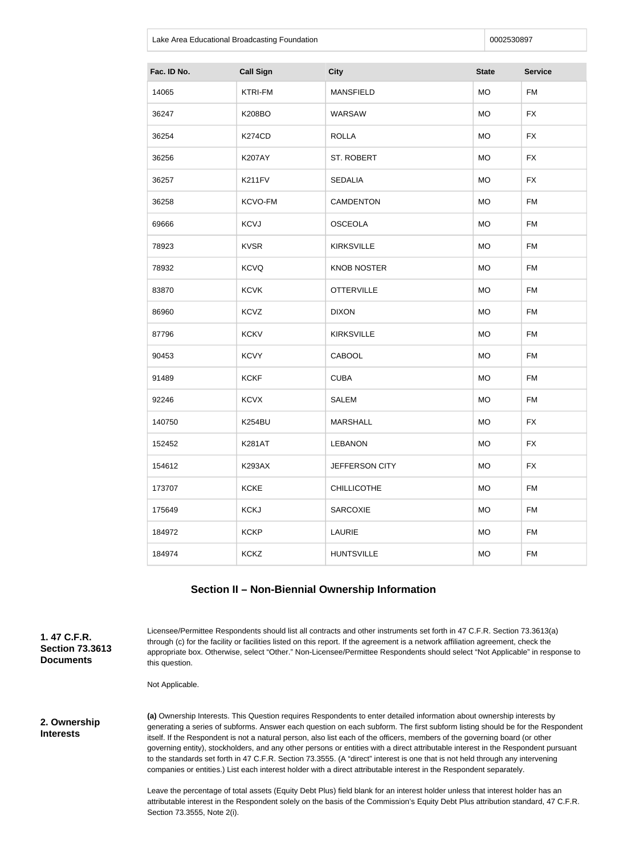Lake Area Educational Broadcasting Foundation **Department 10002530897 0002530897** 

| Fac. ID No. | <b>Call Sign</b> | <b>City</b>        | <b>State</b> | <b>Service</b> |
|-------------|------------------|--------------------|--------------|----------------|
| 14065       | <b>KTRI-FM</b>   | <b>MANSFIELD</b>   | <b>MO</b>    | <b>FM</b>      |
| 36247       | <b>K208BO</b>    | <b>WARSAW</b>      | <b>MO</b>    | <b>FX</b>      |
| 36254       | <b>K274CD</b>    | <b>ROLLA</b>       | <b>MO</b>    | <b>FX</b>      |
| 36256       | <b>K207AY</b>    | ST. ROBERT         | <b>MO</b>    | <b>FX</b>      |
| 36257       | K211FV           | <b>SEDALIA</b>     | <b>MO</b>    | <b>FX</b>      |
| 36258       | KCVO-FM          | <b>CAMDENTON</b>   | <b>MO</b>    | <b>FM</b>      |
| 69666       | <b>KCVJ</b>      | <b>OSCEOLA</b>     | <b>MO</b>    | <b>FM</b>      |
| 78923       | <b>KVSR</b>      | <b>KIRKSVILLE</b>  | <b>MO</b>    | <b>FM</b>      |
| 78932       | <b>KCVQ</b>      | <b>KNOB NOSTER</b> | <b>MO</b>    | <b>FM</b>      |
| 83870       | <b>KCVK</b>      | <b>OTTERVILLE</b>  | <b>MO</b>    | <b>FM</b>      |
| 86960       | <b>KCVZ</b>      | <b>DIXON</b>       | <b>MO</b>    | <b>FM</b>      |
| 87796       | <b>KCKV</b>      | <b>KIRKSVILLE</b>  | <b>MO</b>    | <b>FM</b>      |
| 90453       | <b>KCVY</b>      | CABOOL             | <b>MO</b>    | <b>FM</b>      |
| 91489       | <b>KCKF</b>      | <b>CUBA</b>        | <b>MO</b>    | <b>FM</b>      |
| 92246       | <b>KCVX</b>      | <b>SALEM</b>       | <b>MO</b>    | <b>FM</b>      |
| 140750      | K254BU           | <b>MARSHALL</b>    | <b>MO</b>    | <b>FX</b>      |
| 152452      | <b>K281AT</b>    | <b>LEBANON</b>     | <b>MO</b>    | <b>FX</b>      |
| 154612      | <b>K293AX</b>    | JEFFERSON CITY     | <b>MO</b>    | <b>FX</b>      |
| 173707      | <b>KCKE</b>      | <b>CHILLICOTHE</b> | <b>MO</b>    | <b>FM</b>      |
| 175649      | <b>KCKJ</b>      | <b>SARCOXIE</b>    | <b>MO</b>    | <b>FM</b>      |
| 184972      | <b>KCKP</b>      | LAURIE             | <b>MO</b>    | <b>FM</b>      |
| 184974      | <b>KCKZ</b>      | <b>HUNTSVILLE</b>  | MO           | <b>FM</b>      |

# **Section II – Non-Biennial Ownership Information**

**1. 47 C.F.R. Section 73.3613 Documents**

Licensee/Permittee Respondents should list all contracts and other instruments set forth in 47 C.F.R. Section 73.3613(a) through (c) for the facility or facilities listed on this report. If the agreement is a network affiliation agreement, check the appropriate box. Otherwise, select "Other." Non-Licensee/Permittee Respondents should select "Not Applicable" in response to this question.

Not Applicable.

**2. Ownership Interests**

**(a)** Ownership Interests. This Question requires Respondents to enter detailed information about ownership interests by generating a series of subforms. Answer each question on each subform. The first subform listing should be for the Respondent itself. If the Respondent is not a natural person, also list each of the officers, members of the governing board (or other governing entity), stockholders, and any other persons or entities with a direct attributable interest in the Respondent pursuant to the standards set forth in 47 C.F.R. Section 73.3555. (A "direct" interest is one that is not held through any intervening companies or entities.) List each interest holder with a direct attributable interest in the Respondent separately.

Leave the percentage of total assets (Equity Debt Plus) field blank for an interest holder unless that interest holder has an attributable interest in the Respondent solely on the basis of the Commission's Equity Debt Plus attribution standard, 47 C.F.R. Section 73.3555, Note 2(i).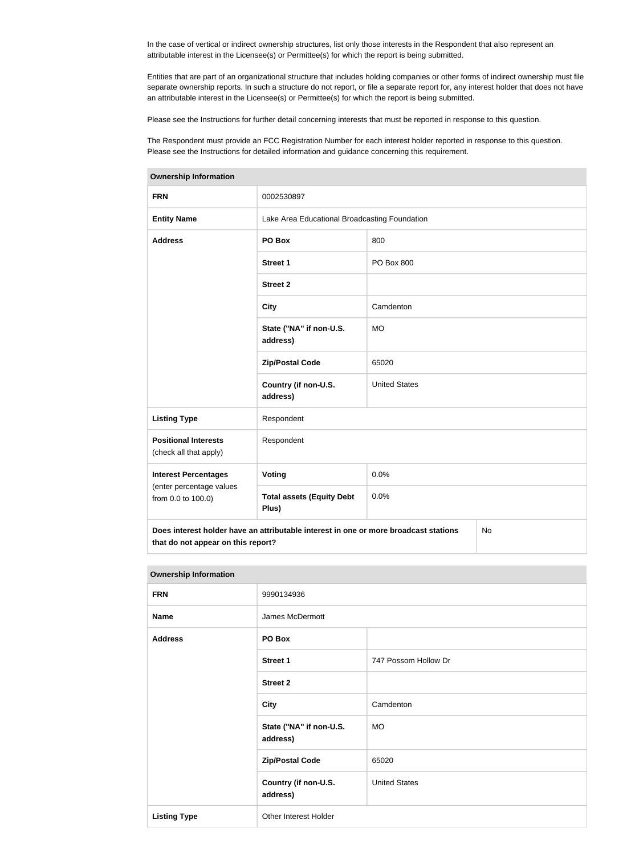In the case of vertical or indirect ownership structures, list only those interests in the Respondent that also represent an attributable interest in the Licensee(s) or Permittee(s) for which the report is being submitted.

Entities that are part of an organizational structure that includes holding companies or other forms of indirect ownership must file separate ownership reports. In such a structure do not report, or file a separate report for, any interest holder that does not have an attributable interest in the Licensee(s) or Permittee(s) for which the report is being submitted.

Please see the Instructions for further detail concerning interests that must be reported in response to this question.

The Respondent must provide an FCC Registration Number for each interest holder reported in response to this question. Please see the Instructions for detailed information and guidance concerning this requirement.

| <b>Ownership Information</b>                                                                                                            |                                               |                      |  |  |
|-----------------------------------------------------------------------------------------------------------------------------------------|-----------------------------------------------|----------------------|--|--|
| <b>FRN</b>                                                                                                                              | 0002530897                                    |                      |  |  |
| <b>Entity Name</b>                                                                                                                      | Lake Area Educational Broadcasting Foundation |                      |  |  |
| <b>Address</b>                                                                                                                          | PO Box                                        | 800                  |  |  |
|                                                                                                                                         | <b>Street 1</b>                               | PO Box 800           |  |  |
|                                                                                                                                         | <b>Street 2</b>                               |                      |  |  |
|                                                                                                                                         | <b>City</b>                                   | Camdenton            |  |  |
|                                                                                                                                         | State ("NA" if non-U.S.<br>address)           | <b>MO</b>            |  |  |
|                                                                                                                                         | <b>Zip/Postal Code</b>                        | 65020                |  |  |
|                                                                                                                                         | Country (if non-U.S.<br>address)              | <b>United States</b> |  |  |
| <b>Listing Type</b>                                                                                                                     | Respondent                                    |                      |  |  |
| <b>Positional Interests</b><br>(check all that apply)                                                                                   | Respondent                                    |                      |  |  |
| <b>Interest Percentages</b>                                                                                                             | <b>Voting</b>                                 | 0.0%                 |  |  |
| (enter percentage values<br>from 0.0 to 100.0)                                                                                          | <b>Total assets (Equity Debt</b><br>Plus)     | 0.0%                 |  |  |
| Does interest holder have an attributable interest in one or more broadcast stations<br><b>No</b><br>that do not appear on this report? |                                               |                      |  |  |

#### **Ownership Information**

| <b>FRN</b>          | 9990134936                          |                      |  |
|---------------------|-------------------------------------|----------------------|--|
| <b>Name</b>         | James McDermott                     |                      |  |
| <b>Address</b>      | PO Box                              |                      |  |
|                     | <b>Street 1</b>                     | 747 Possom Hollow Dr |  |
|                     | <b>Street 2</b>                     |                      |  |
|                     | <b>City</b>                         | Camdenton            |  |
|                     | State ("NA" if non-U.S.<br>address) | <b>MO</b>            |  |
|                     | <b>Zip/Postal Code</b>              | 65020                |  |
|                     | Country (if non-U.S.<br>address)    | <b>United States</b> |  |
| <b>Listing Type</b> | Other Interest Holder               |                      |  |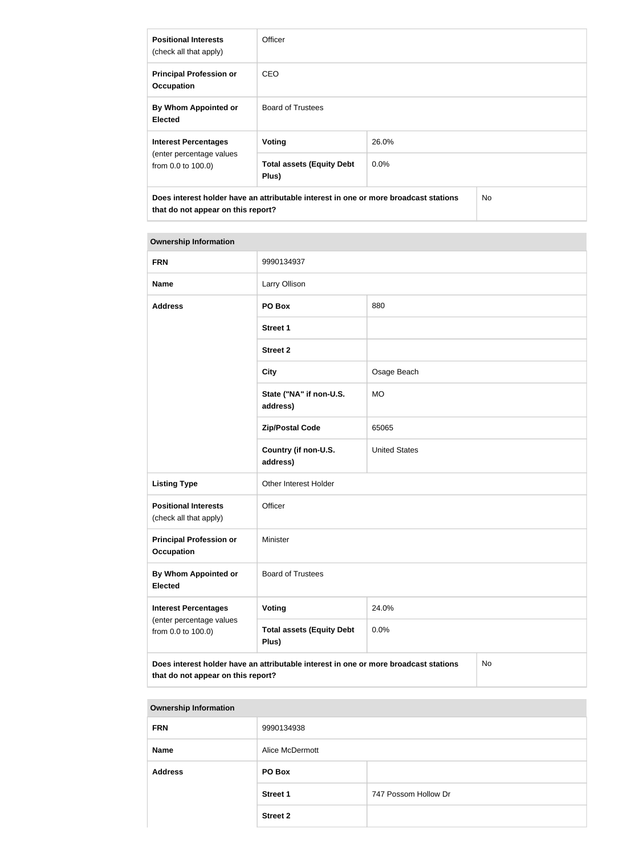| <b>Positional Interests</b><br>(check all that apply)                                                                             | Officer                                   |         |  |  |
|-----------------------------------------------------------------------------------------------------------------------------------|-------------------------------------------|---------|--|--|
| <b>Principal Profession or</b><br><b>Occupation</b>                                                                               | <b>CEO</b>                                |         |  |  |
| By Whom Appointed or<br><b>Elected</b>                                                                                            | <b>Board of Trustees</b>                  |         |  |  |
| <b>Interest Percentages</b>                                                                                                       | <b>Voting</b>                             | 26.0%   |  |  |
| (enter percentage values<br>from 0.0 to 100.0)                                                                                    | <b>Total assets (Equity Debt</b><br>Plus) | $0.0\%$ |  |  |
| Does interest holder have an attributable interest in one or more broadcast stations<br>No.<br>that do not appear on this report? |                                           |         |  |  |

#### **Ownership Information**

| <b>FRN</b>                                            | 9990134937                                                                           |                      |    |  |
|-------------------------------------------------------|--------------------------------------------------------------------------------------|----------------------|----|--|
| <b>Name</b>                                           | Larry Ollison                                                                        |                      |    |  |
| <b>Address</b>                                        | PO Box                                                                               | 880                  |    |  |
|                                                       | <b>Street 1</b>                                                                      |                      |    |  |
|                                                       | <b>Street 2</b>                                                                      |                      |    |  |
|                                                       | <b>City</b>                                                                          | Osage Beach          |    |  |
|                                                       | State ("NA" if non-U.S.<br>address)                                                  | <b>MO</b>            |    |  |
|                                                       | <b>Zip/Postal Code</b>                                                               | 65065                |    |  |
|                                                       | Country (if non-U.S.<br>address)                                                     | <b>United States</b> |    |  |
| <b>Listing Type</b>                                   | Other Interest Holder                                                                |                      |    |  |
| <b>Positional Interests</b><br>(check all that apply) | Officer                                                                              |                      |    |  |
| <b>Principal Profession or</b><br><b>Occupation</b>   | Minister                                                                             |                      |    |  |
| By Whom Appointed or<br><b>Elected</b>                | <b>Board of Trustees</b>                                                             |                      |    |  |
| <b>Interest Percentages</b>                           | <b>Voting</b>                                                                        | 24.0%                |    |  |
| (enter percentage values<br>from 0.0 to 100.0)        | <b>Total assets (Equity Debt</b><br>Plus)                                            | 0.0%                 |    |  |
| that do not appear on this report?                    | Does interest holder have an attributable interest in one or more broadcast stations |                      | No |  |

#### **Ownership Information**

| 9990134938      |                      |  |
|-----------------|----------------------|--|
| Alice McDermott |                      |  |
| PO Box          |                      |  |
| <b>Street 1</b> | 747 Possom Hollow Dr |  |
| <b>Street 2</b> |                      |  |
|                 |                      |  |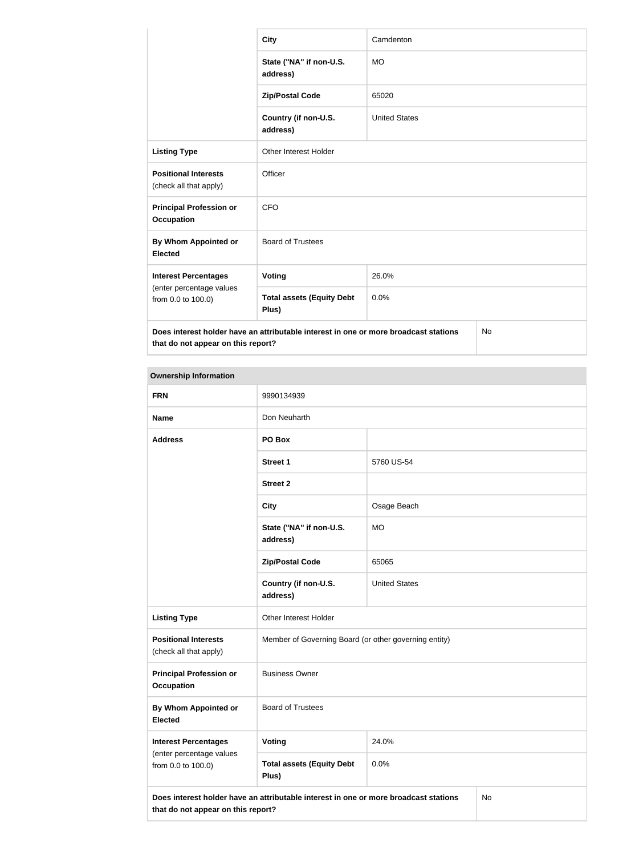|                                                                                                                            | <b>City</b>                               | Camdenton            |           |
|----------------------------------------------------------------------------------------------------------------------------|-------------------------------------------|----------------------|-----------|
|                                                                                                                            | State ("NA" if non-U.S.<br>address)       | <b>MO</b>            |           |
|                                                                                                                            | <b>Zip/Postal Code</b>                    | 65020                |           |
|                                                                                                                            | Country (if non-U.S.<br>address)          | <b>United States</b> |           |
| <b>Listing Type</b>                                                                                                        | <b>Other Interest Holder</b>              |                      |           |
| <b>Positional Interests</b><br>(check all that apply)                                                                      | Officer                                   |                      |           |
| <b>Principal Profession or</b><br><b>Occupation</b>                                                                        | <b>CFO</b>                                |                      |           |
| By Whom Appointed or<br><b>Elected</b>                                                                                     | <b>Board of Trustees</b>                  |                      |           |
| <b>Interest Percentages</b>                                                                                                | Voting                                    | 26.0%                |           |
| (enter percentage values<br>from 0.0 to 100.0)                                                                             | <b>Total assets (Equity Debt</b><br>Plus) | 0.0%                 |           |
| Does interest holder have an attributable interest in one or more broadcast stations<br>that do not appear on this report? |                                           |                      | <b>No</b> |

# **Ownership Information**

| <b>FRN</b>                                                                                                                       | 9990134939                                            |                      |  |  |
|----------------------------------------------------------------------------------------------------------------------------------|-------------------------------------------------------|----------------------|--|--|
| <b>Name</b>                                                                                                                      | Don Neuharth                                          |                      |  |  |
| <b>Address</b>                                                                                                                   | PO Box                                                |                      |  |  |
|                                                                                                                                  | <b>Street 1</b>                                       | 5760 US-54           |  |  |
|                                                                                                                                  | <b>Street 2</b>                                       |                      |  |  |
|                                                                                                                                  | <b>City</b>                                           | Osage Beach          |  |  |
|                                                                                                                                  | State ("NA" if non-U.S.<br>address)                   | <b>MO</b>            |  |  |
|                                                                                                                                  | <b>Zip/Postal Code</b>                                | 65065                |  |  |
|                                                                                                                                  | Country (if non-U.S.<br>address)                      | <b>United States</b> |  |  |
| <b>Listing Type</b>                                                                                                              | Other Interest Holder                                 |                      |  |  |
| <b>Positional Interests</b><br>(check all that apply)                                                                            | Member of Governing Board (or other governing entity) |                      |  |  |
| <b>Principal Profession or</b><br><b>Occupation</b>                                                                              | <b>Business Owner</b>                                 |                      |  |  |
| By Whom Appointed or<br><b>Elected</b>                                                                                           | <b>Board of Trustees</b>                              |                      |  |  |
| <b>Interest Percentages</b>                                                                                                      | <b>Voting</b>                                         | 24.0%                |  |  |
| (enter percentage values<br>from 0.0 to 100.0)                                                                                   | <b>Total assets (Equity Debt</b><br>Plus)             | 0.0%                 |  |  |
| Does interest holder have an attributable interest in one or more broadcast stations<br>No<br>that do not appear on this report? |                                                       |                      |  |  |